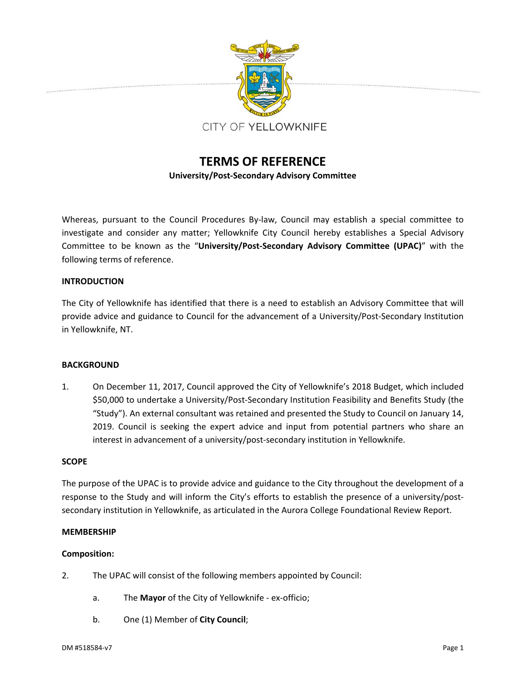

# **TERMS OF REFERENCE University/Post‐Secondary Advisory Committee**

Whereas, pursuant to the Council Procedures By-law, Council may establish a special committee to investigate and consider any matter; Yellowknife City Council hereby establishes a Special Advisory Committee to be known as the "**University/Post‐Secondary Advisory Committee (UPAC)**" with the following terms of reference.

# **INTRODUCTION**

The City of Yellowknife has identified that there is a need to establish an Advisory Committee that will provide advice and guidance to Council for the advancement of a University/Post-Secondary Institution in Yellowknife, NT.

## **BACKGROUND**

1. On December 11, 2017, Council approved the City of Yellowknife's 2018 Budget, which included \$50,000 to undertake a University/Post-Secondary Institution Feasibility and Benefits Study (the "Study"). An external consultant was retained and presented the Study to Council on January 14, 2019. Council is seeking the expert advice and input from potential partners who share an interest in advancement of a university/post‐secondary institution in Yellowknife.

## **SCOPE**

The purpose of the UPAC is to provide advice and guidance to the City throughout the development of a response to the Study and will inform the City's efforts to establish the presence of a university/postsecondary institution in Yellowknife, as articulated in the Aurora College Foundational Review Report.

## **MEMBERSHIP**

## **Composition:**

- 2. The UPAC will consist of the following members appointed by Council:
	- a. The **Mayor** of the City of Yellowknife ex-officio;
	- b. One (1) Member of **City Council**;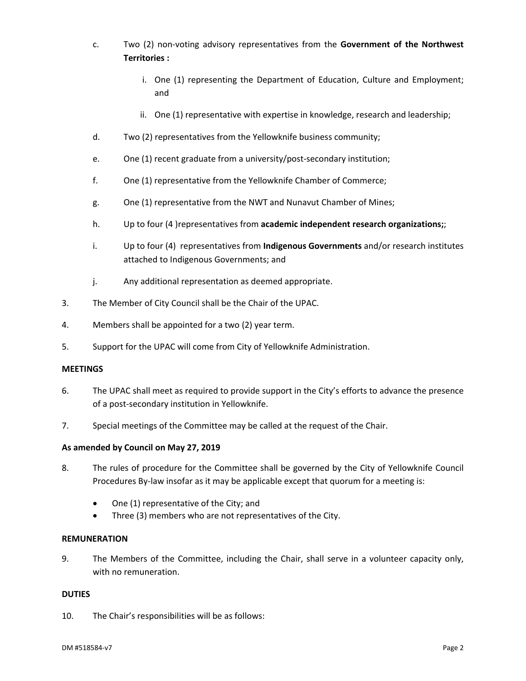- c. Two (2) non‐voting advisory representatives from the **Government of the Northwest Territories :**
	- i. One (1) representing the Department of Education, Culture and Employment; and
	- ii. One (1) representative with expertise in knowledge, research and leadership;
- d. Two (2) representatives from the Yellowknife business community;
- e. One (1) recent graduate from a university/post‐secondary institution;
- f. One (1) representative from the Yellowknife Chamber of Commerce;
- g. One (1) representative from the NWT and Nunavut Chamber of Mines;
- h. Up to four (4 )representatives from **academic independent research organizations;**;
- i. Up to four (4) representatives from **Indigenous Governments** and/or research institutes attached to Indigenous Governments; and
- j. Any additional representation as deemed appropriate.
- 3. The Member of City Council shall be the Chair of the UPAC.
- 4. Members shall be appointed for a two (2) year term.
- 5. Support for the UPAC will come from City of Yellowknife Administration.

## **MEETINGS**

- 6. The UPAC shall meet as required to provide support in the City's efforts to advance the presence of a post‐secondary institution in Yellowknife.
- 7. Special meetings of the Committee may be called at the request of the Chair.

## **As amended by Council on May 27, 2019**

- 8. The rules of procedure for the Committee shall be governed by the City of Yellowknife Council Procedures By‐law insofar as it may be applicable except that quorum for a meeting is:
	- One (1) representative of the City; and
	- Three (3) members who are not representatives of the City.

#### **REMUNERATION**

9. The Members of the Committee, including the Chair, shall serve in a volunteer capacity only, with no remuneration.

#### **DUTIES**

10. The Chair's responsibilities will be as follows: